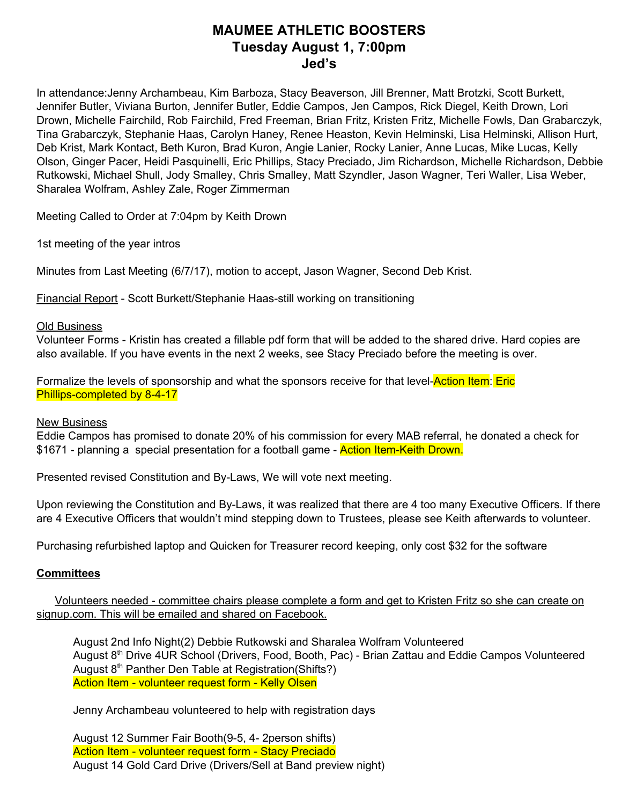## **MAUMEE ATHLETIC BOOSTERS Tuesday August 1, 7:00pm Jed's**

In attendance:Jenny Archambeau, Kim Barboza, Stacy Beaverson, Jill Brenner, Matt Brotzki, Scott Burkett, Jennifer Butler, Viviana Burton, Jennifer Butler, Eddie Campos, Jen Campos, Rick Diegel, Keith Drown, Lori Drown, Michelle Fairchild, Rob Fairchild, Fred Freeman, Brian Fritz, Kristen Fritz, Michelle Fowls, Dan Grabarczyk, Tina Grabarczyk, Stephanie Haas, Carolyn Haney, Renee Heaston, Kevin Helminski, Lisa Helminski, Allison Hurt, Deb Krist, Mark Kontact, Beth Kuron, Brad Kuron, Angie Lanier, Rocky Lanier, Anne Lucas, Mike Lucas, Kelly Olson, Ginger Pacer, Heidi Pasquinelli, Eric Phillips, Stacy Preciado, Jim Richardson, Michelle Richardson, Debbie Rutkowski, Michael Shull, Jody Smalley, Chris Smalley, Matt Szyndler, Jason Wagner, Teri Waller, Lisa Weber, Sharalea Wolfram, Ashley Zale, Roger Zimmerman

Meeting Called to Order at 7:04pm by Keith Drown

1st meeting of the year intros

Minutes from Last Meeting (6/7/17), motion to accept, Jason Wagner, Second Deb Krist.

Financial Report - Scott Burkett/Stephanie Haas-still working on transitioning

#### Old Business

Volunteer Forms - Kristin has created a fillable pdf form that will be added to the shared drive. Hard copies are also available. If you have events in the next 2 weeks, see Stacy Preciado before the meeting is over.

Formalize the levels of sponsorship and what the sponsors receive for that level-**Action Item:** Eric Phillips-completed by 8-4-17

### New Business

Eddie Campos has promised to donate 20% of his commission for every MAB referral, he donated a check for \$1671 - planning a special presentation for a football game - **Action Item-Keith Drown.** 

Presented revised Constitution and By-Laws, We will vote next meeting.

Upon reviewing the Constitution and By-Laws, it was realized that there are 4 too many Executive Officers. If there are 4 Executive Officers that wouldn't mind stepping down to Trustees, please see Keith afterwards to volunteer.

Purchasing refurbished laptop and Quicken for Treasurer record keeping, only cost \$32 for the software

### **Committees**

Volunteers needed - committee chairs please complete a form and get to Kristen Fritz so she can create on signup.com. This will be emailed and shared on Facebook.

August 2nd Info Night(2) Debbie Rutkowski and Sharalea Wolfram Volunteered August 8<sup>th</sup> Drive 4UR School (Drivers, Food, Booth, Pac) - Brian Zattau and Eddie Campos Volunteered August 8<sup>th</sup> Panther Den Table at Registration(Shifts?) Action Item - volunteer request form - Kelly Olsen

Jenny Archambeau volunteered to help with registration days

August 12 Summer Fair Booth(9-5, 4- 2person shifts) Action Item - volunteer request form - Stacy Preciado August 14 Gold Card Drive (Drivers/Sell at Band preview night)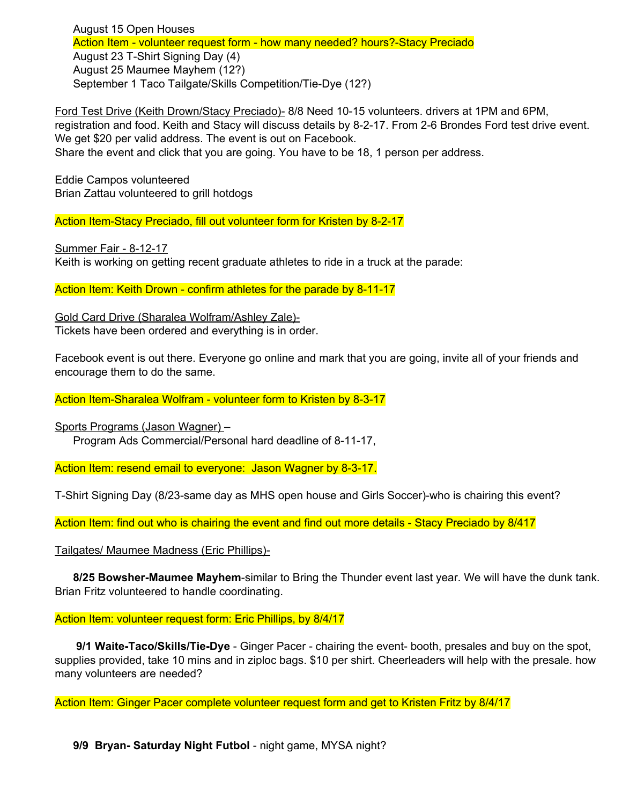August 15 Open Houses Action Item - volunteer request form - how many needed? hours?-Stacy Preciado August 23 T-Shirt Signing Day (4) August 25 Maumee Mayhem (12?) September 1 Taco Tailgate/Skills Competition/Tie-Dye (12?)

Ford Test Drive (Keith Drown/Stacy Preciado)- 8/8 Need 10-15 volunteers. drivers at 1PM and 6PM, registration and food. Keith and Stacy will discuss details by 8-2-17. From 2-6 Brondes Ford test drive event. We get \$20 per valid address. The event is out on Facebook.

Share the event and click that you are going. You have to be 18, 1 person per address.

Eddie Campos volunteered Brian Zattau volunteered to grill hotdogs

Action Item-Stacy Preciado, fill out volunteer form for Kristen by 8-2-17

Summer Fair - 8-12-17 Keith is working on getting recent graduate athletes to ride in a truck at the parade:

Action Item: Keith Drown - confirm athletes for the parade by 8-11-17

Gold Card Drive (Sharalea Wolfram/Ashley Zale)- Tickets have been ordered and everything is in order.

Facebook event is out there. Everyone go online and mark that you are going, invite all of your friends and encourage them to do the same.

Action Item-Sharalea Wolfram - volunteer form to Kristen by 8-3-17

Sports Programs (Jason Wagner) – Program Ads Commercial/Personal hard deadline of 8-11-17,

Action Item: resend email to everyone: Jason Wagner by 8-3-17.

T-Shirt Signing Day (8/23-same day as MHS open house and Girls Soccer)-who is chairing this event?

Action Item: find out who is chairing the event and find out more details - Stacy Preciado by 8/417

Tailgates/ Maumee Madness (Eric Phillips)-

**8/25 Bowsher-Maumee Mayhem**-similar to Bring the Thunder event last year. We will have the dunk tank. Brian Fritz volunteered to handle coordinating.

#### Action Item: volunteer request form: Eric Phillips, by 8/4/17

**9/1 Waite-Taco/Skills/Tie-Dye** - Ginger Pacer - chairing the event- booth, presales and buy on the spot, supplies provided, take 10 mins and in ziploc bags. \$10 per shirt. Cheerleaders will help with the presale. how many volunteers are needed?

Action Item: Ginger Pacer complete volunteer request form and get to Kristen Fritz by 8/4/17

**9/9 Bryan- Saturday Night Futbol** - night game, MYSA night?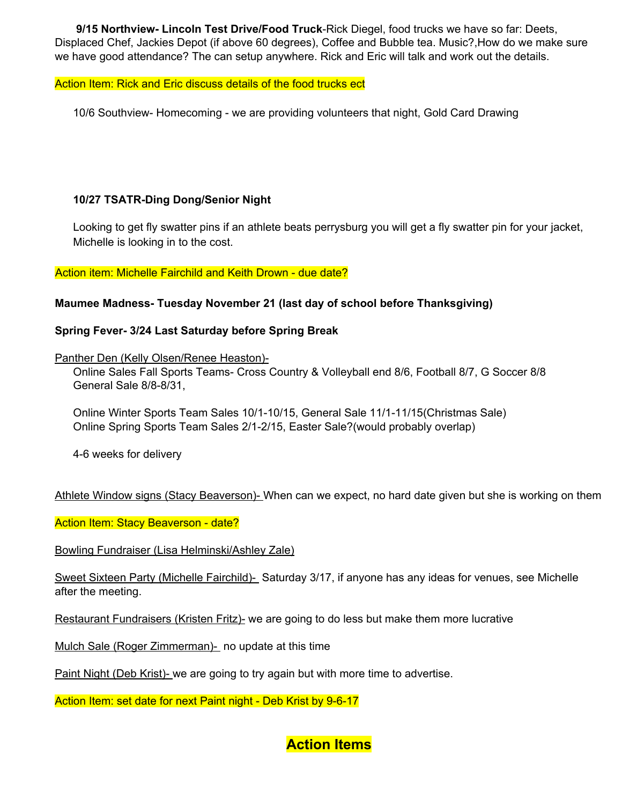**9/15 Northview- Lincoln Test Drive/Food Truck**-Rick Diegel, food trucks we have so far: Deets, Displaced Chef, Jackies Depot (if above 60 degrees), Coffee and Bubble tea. Music?,How do we make sure we have good attendance? The can setup anywhere. Rick and Eric will talk and work out the details.

## Action Item: Rick and Eric discuss details of the food trucks ect

10/6 Southview- Homecoming - we are providing volunteers that night, Gold Card Drawing

## **10/27 TSATR-Ding Dong/Senior Night**

Looking to get fly swatter pins if an athlete beats perrysburg you will get a fly swatter pin for your jacket, Michelle is looking in to the cost.

### Action item: Michelle Fairchild and Keith Drown - due date?

## **Maumee Madness- Tuesday November 21 (last day of school before Thanksgiving)**

## **Spring Fever- 3/24 Last Saturday before Spring Break**

Panther Den (Kelly Olsen/Renee Heaston)-

Online Sales Fall Sports Teams- Cross Country & Volleyball end 8/6, Football 8/7, G Soccer 8/8 General Sale 8/8-8/31,

Online Winter Sports Team Sales 10/1-10/15, General Sale 11/1-11/15(Christmas Sale) Online Spring Sports Team Sales 2/1-2/15, Easter Sale?(would probably overlap)

4-6 weeks for delivery

Athlete Window signs (Stacy Beaverson)- When can we expect, no hard date given but she is working on them

Action Item: Stacy Beaverson - date?

Bowling Fundraiser (Lisa Helminski/Ashley Zale)

Sweet Sixteen Party (Michelle Fairchild)- Saturday 3/17, if anyone has any ideas for venues, see Michelle after the meeting.

Restaurant Fundraisers (Kristen Fritz)- we are going to do less but make them more lucrative

Mulch Sale (Roger Zimmerman)- no update at this time

Paint Night (Deb Krist)- we are going to try again but with more time to advertise.

Action Item: set date for next Paint night - Deb Krist by 9-6-17

# **Action Items**